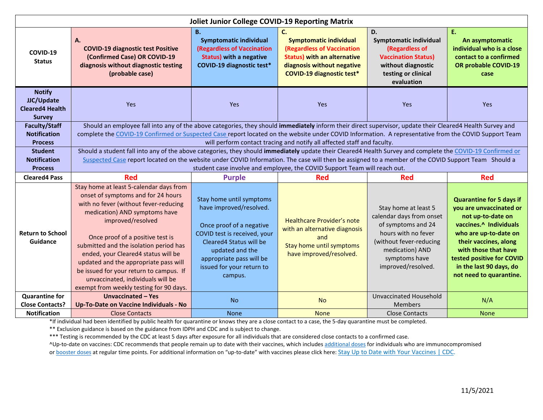| <b>Joliet Junior College COVID-19 Reporting Matrix</b>                                                                   |                                                                                                                                                                                                                                                                                                                                                                                                                                                                                                                                                                                                                                                                                                                                                                                                 |                                                                                                                                                                                                                                   |                                                                                                                                                                           |                                                                                                                                                                                    |                                                                                                                                                                                                                                                                        |
|--------------------------------------------------------------------------------------------------------------------------|-------------------------------------------------------------------------------------------------------------------------------------------------------------------------------------------------------------------------------------------------------------------------------------------------------------------------------------------------------------------------------------------------------------------------------------------------------------------------------------------------------------------------------------------------------------------------------------------------------------------------------------------------------------------------------------------------------------------------------------------------------------------------------------------------|-----------------------------------------------------------------------------------------------------------------------------------------------------------------------------------------------------------------------------------|---------------------------------------------------------------------------------------------------------------------------------------------------------------------------|------------------------------------------------------------------------------------------------------------------------------------------------------------------------------------|------------------------------------------------------------------------------------------------------------------------------------------------------------------------------------------------------------------------------------------------------------------------|
| COVID-19<br><b>Status</b>                                                                                                | A.<br><b>COVID-19 diagnostic test Positive</b><br>(Confirmed Case) OR COVID-19<br>diagnosis without diagnostic testing<br>(probable case)                                                                                                                                                                                                                                                                                                                                                                                                                                                                                                                                                                                                                                                       | <b>B.</b><br><b>Symptomatic individual</b><br>(Regardless of Vaccination<br><b>Status) with a negative</b><br>COVID-19 diagnostic test*                                                                                           | C.<br><b>Symptomatic individual</b><br>(Regardless of Vaccination<br><b>Status) with an alternative</b><br>diagnosis without negative<br><b>COVID-19 diagnostic test*</b> | D.<br>Symptomatic individual<br>(Regardless of<br><b>Vaccination Status)</b><br>without diagnostic<br>testing or clinical<br>evaluation                                            | Ε.<br>An asymptomatic<br>individual who is a close<br>contact to a confirmed<br>OR probable COVID-19<br>case                                                                                                                                                           |
| <b>Notify</b><br>JJC/Update<br><b>Cleared4 Health</b><br><b>Survey</b>                                                   | Yes                                                                                                                                                                                                                                                                                                                                                                                                                                                                                                                                                                                                                                                                                                                                                                                             | Yes                                                                                                                                                                                                                               | Yes                                                                                                                                                                       | Yes                                                                                                                                                                                | Yes                                                                                                                                                                                                                                                                    |
| <b>Faculty/Staff</b><br><b>Notification</b><br><b>Process</b><br><b>Student</b><br><b>Notification</b><br><b>Process</b> | Should an employee fall into any of the above categories, they should immediately inform their direct supervisor, update their Cleared4 Health Survey and<br>complete the COVID-19 Confirmed or Suspected Case report located on the website under COVID Information. A representative from the COVID Support Team<br>will perform contact tracing and notify all affected staff and faculty.<br>Should a student fall into any of the above categories, they should immediately update their Cleared4 Health Survey and complete the COVID-19 Confirmed or<br>Suspected Case report located on the website under COVID Information. The case will then be assigned to a member of the COVID Support Team Should a<br>student case involve and employee, the COVID Support Team will reach out. |                                                                                                                                                                                                                                   |                                                                                                                                                                           |                                                                                                                                                                                    |                                                                                                                                                                                                                                                                        |
| <b>Cleared4 Pass</b>                                                                                                     | <b>Red</b>                                                                                                                                                                                                                                                                                                                                                                                                                                                                                                                                                                                                                                                                                                                                                                                      | <b>Purple</b>                                                                                                                                                                                                                     | <b>Red</b>                                                                                                                                                                | <b>Red</b>                                                                                                                                                                         | <b>Red</b>                                                                                                                                                                                                                                                             |
| <b>Return to School</b><br>Guidance                                                                                      | Stay home at least 5-calendar days from<br>onset of symptoms and for 24 hours<br>with no fever (without fever-reducing<br>medication) AND symptoms have<br>improved/resolved<br>Once proof of a positive test is<br>submitted and the isolation period has<br>ended, your Cleared4 status will be<br>updated and the appropriate pass will<br>be issued for your return to campus. If<br>unvaccinated, individuals will be<br>exempt from weekly testing for 90 days.                                                                                                                                                                                                                                                                                                                           | Stay home until symptoms<br>have improved/resolved.<br>Once proof of a negative<br>COVID test is received, your<br>Cleared4 Status will be<br>updated and the<br>appropriate pass will be<br>issued for your return to<br>campus. | <b>Healthcare Provider's note</b><br>with an alternative diagnosis<br>and<br>Stay home until symptoms<br>have improved/resolved.                                          | Stay home at least 5<br>calendar days from onset<br>of symptoms and 24<br>hours with no fever<br>(without fever-reducing<br>medication) AND<br>symptoms have<br>improved/resolved. | <b>Quarantine for 5 days if</b><br>you are unvaccinated or<br>not up-to-date on<br>vaccines.^ Individuals<br>who are up-to-date on<br>their vaccines, along<br>with those that have<br>tested positive for COVID<br>in the last 90 days, do<br>not need to quarantine. |
| <b>Quarantine for</b><br><b>Close Contacts?</b>                                                                          | Unvaccinated - Yes<br>Up-To-Date on Vaccine Individuals - No                                                                                                                                                                                                                                                                                                                                                                                                                                                                                                                                                                                                                                                                                                                                    | <b>No</b>                                                                                                                                                                                                                         | <b>No</b>                                                                                                                                                                 | Unvaccinated Household<br><b>Members</b>                                                                                                                                           | N/A                                                                                                                                                                                                                                                                    |
| <b>Notification</b>                                                                                                      | <b>Close Contacts</b>                                                                                                                                                                                                                                                                                                                                                                                                                                                                                                                                                                                                                                                                                                                                                                           | <b>None</b>                                                                                                                                                                                                                       | <b>None</b>                                                                                                                                                               | <b>Close Contacts</b>                                                                                                                                                              | <b>None</b>                                                                                                                                                                                                                                                            |

\*If individual had been identified by public health for quarantine or knows they are a close contact to a case, the 5-day quarantine must be completed.

\*\* Exclusion guidance is based on the guidance from IDPH and CDC and is subject to change.

\*\*\* Testing is recommended by the CDC at least 5 days after exposure for all individuals that are considered close contacts to a confirmed case.

^Up-to-date on vaccines: CDC recommends that people remain up to date with their vaccines, which includes [additional doses](https://www.cdc.gov/coronavirus/2019-ncov/vaccines/recommendations/immuno.html) for individuals who are immunocompromised

or [booster doses](https://www.cdc.gov/coronavirus/2019-ncov/vaccines/booster-shot.html) at regular time points. For additional information on "up-to-date" with vaccines please click here[: Stay Up to Date with Your Vaccines | CDC.](https://www.cdc.gov/coronavirus/2019-ncov/vaccines/stay-up-to-date.html)